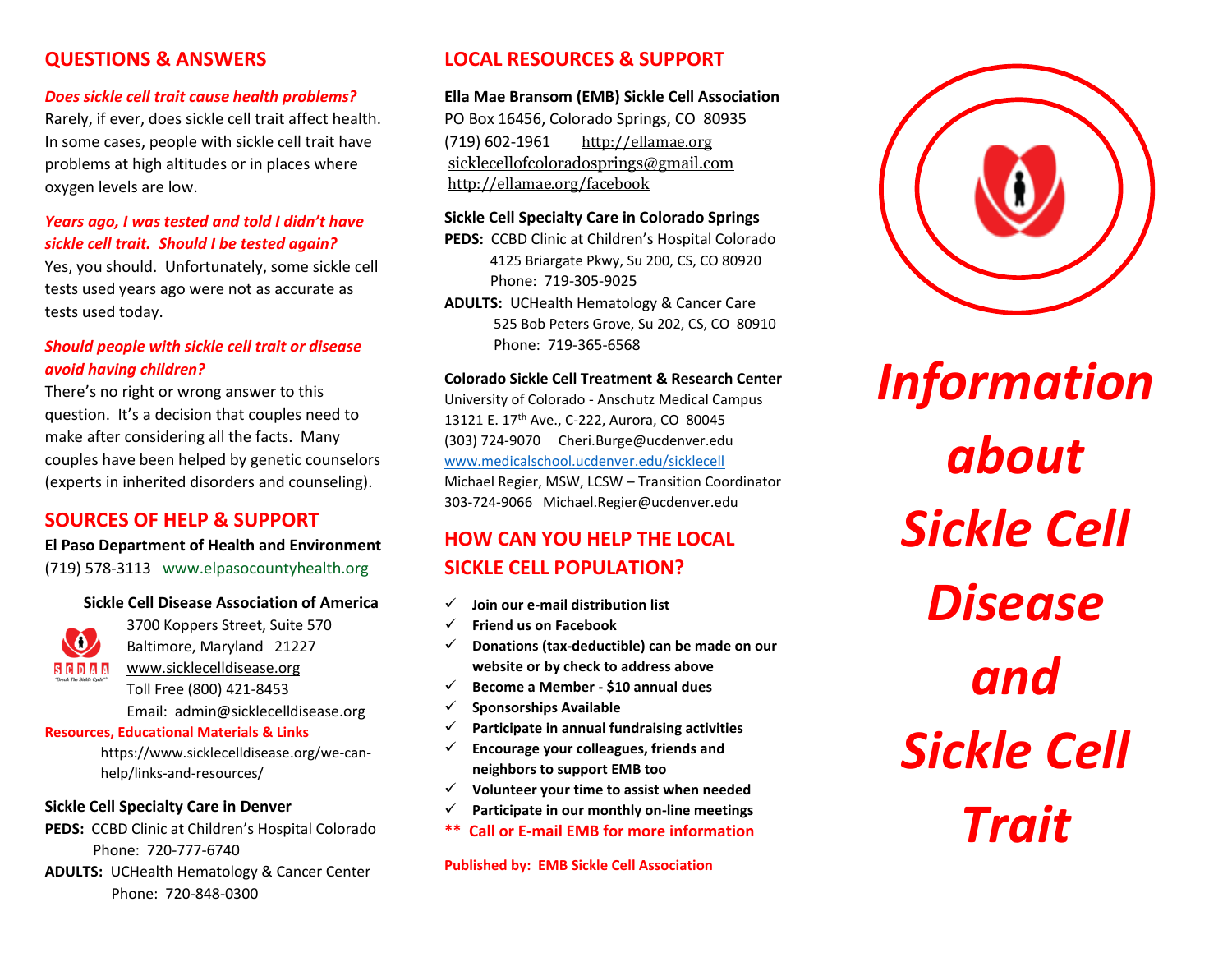## **QUESTIONS & ANSWERS**

#### *Does sickle cell trait cause health problems?*

Rarely, if ever, does sickle cell trait affect health. In some cases, people with sickle cell trait have problems at high altitudes or in places where oxygen levels are low.

### *Years ago, I was tested and told I didn't have sickle cell trait. Should I be tested again?*

Yes, you should. Unfortunately, some sickle cell tests used years ago were not as accurate as tests used today.

### *Should people with sickle cell trait or disease avoid having children?*

There's no right or wrong answer to this question. It's a decision that couples need to make after considering all the facts. Many couples have been helped by genetic counselors (experts in inherited disorders and counseling).

## **SOURCES OF HELP & SUPPORT**

**El Paso Department of Health and Environment** (719) 578-3113 www.elpasocountyhealth.org

#### **Sickle Cell Disease Association of America**



3700 Koppers Street, Suite 570 Baltimore, Maryland 21227 [www.sicklecelldisease.org](http://www.sicklecelldisease.org/) Toll Free (800) 421-8453

Email: admin@sicklecelldisease.org

#### **Resources, Educational Materials & Links**

https://www.sicklecelldisease.org/we-canhelp/links-and-resources/

#### **Sickle Cell Specialty Care in Denver**

**PEDS:** CCBD Clinic at Children's Hospital Colorado Phone: 720-777-6740

**ADULTS:** UCHealth Hematology & Cancer Center Phone: 720-848-0300

# **LOCAL RESOURCES & SUPPORT**

#### **Ella Mae Bransom (EMB) Sickle Cell Association**

PO Box 16456, Colorado Springs, CO 80935 (719) 602-1961 [http://ellamae.org](http://ellamae.org/) [sicklecellofcoloradosprings@gmail.com](mailto:sicklecellofcoloradosprings@gmail.com) <http://ellamae.org/facebook>

#### **Sickle Cell Specialty Care in Colorado Springs**

**PEDS:** CCBD Clinic at Children's Hospital Colorado 4125 Briargate Pkwy, Su 200, CS, CO 80920 Phone: 719-305-9025

**ADULTS:** UCHealth Hematology & Cancer Care 525 Bob Peters Grove, Su 202, CS, CO 80910 Phone: 719-365-6568

#### **Colorado Sickle Cell Treatment & Research Center**

University of Colorado - Anschutz Medical Campus 13121 E. 17<sup>th</sup> Ave., C-222, Aurora, CO 80045 (303) 724-9070 Cheri.Burge@ucdenver.edu [www.medicalschool.ucdenver.edu/sicklecell](http://www.medicalschool.ucdenver.edu/sicklecell) Michael Regier, MSW, LCSW – Transition Coordinator 303-724-9066 Michael.Regier@ucdenver.edu

# **HOW CAN YOU HELP THE LOCAL SICKLE CELL POPULATION?**

- **Join our e-mail distribution list**
- **Friend us on Facebook**
- **Donations (tax-deductible) can be made on our website or by check to address above**
- **Become a Member - \$10 annual dues**
- **Sponsorships Available**
- **Participate in annual fundraising activities**
- **Encourage your colleagues, friends and neighbors to support EMB too**
- **Volunteer your time to assist when needed**
- **Participate in our monthly on-line meetings**
- **\*\* Call or E-mail EMB for more information**

**Published by: EMB Sickle Cell Association**



*Information about Sickle Cell Disease and Sickle Cell Trait*